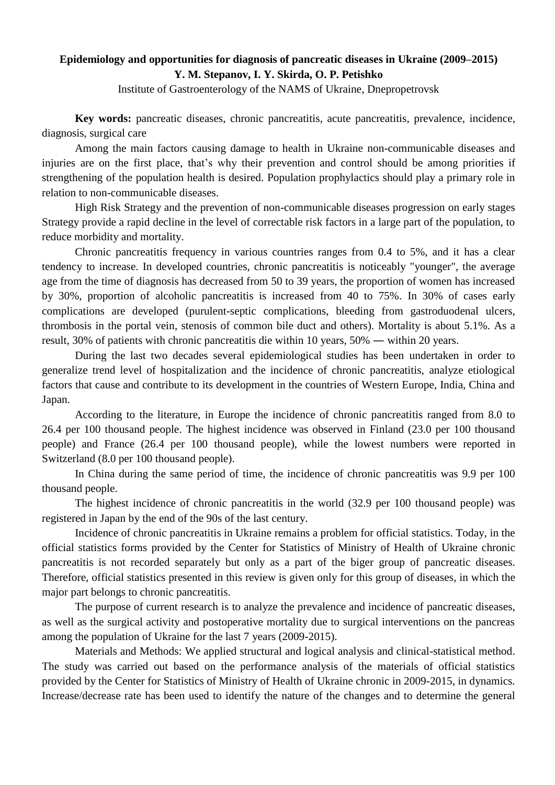## **Epidemiology and opportunities for diagnosis of pancreatic diseases in Ukraine (2009–2015) Y. M. Stepanov, I. Y. Skirda, O. P. Petishko**

Institute of Gastroenterology of the NAMS of Ukraine, Dnepropetrovsk

**Key words:** pancreatic diseases, chronic pancreatitis, acute pancreatitis, prevalence, incidence, diagnosis, surgical care

Among the main factors causing damage to health in Ukraine non-communicable diseases and injuries are on the first place, that's why their prevention and control should be among priorities if strengthening of the population health is desired. Population prophylactics should play a primary role in relation to non-communicable diseases.

High Risk Strategy and the prevention of non-communicable diseases progression on early stages Strategy provide a rapid decline in the level of correctable risk factors in a large part of the population, to reduce morbidity and mortality.

Chronic pancreatitis frequency in various countries ranges from 0.4 to 5%, and it has a clear tendency to increase. In developed countries, chronic pancreatitis is noticeably "younger", the average age from the time of diagnosis has decreased from 50 to 39 years, the proportion of women has increased by 30%, proportion of alcoholic pancreatitis is increased from 40 to 75%. In 30% of cases early complications are developed (purulent-septic complications, bleeding from gastroduodenal ulcers, thrombosis in the portal vein, stenosis of common bile duct and others). Mortality is about 5.1%. As a result, 30% of patients with chronic pancreatitis die within 10 years, 50% ― within 20 years.

During the last two decades several epidemiological studies has been undertaken in order to generalize trend level of hospitalization and the incidence of chronic pancreatitis, analyze etiological factors that cause and contribute to its development in the countries of Western Europe, India, China and Japan.

According to the literature, in Europe the incidence of chronic pancreatitis ranged from 8.0 to 26.4 per 100 thousand people. The highest incidence was observed in Finland (23.0 per 100 thousand people) and France (26.4 per 100 thousand people), while the lowest numbers were reported in Switzerland (8.0 per 100 thousand people).

In China during the same period of time, the incidence of chronic pancreatitis was 9.9 per 100 thousand people.

The highest incidence of chronic pancreatitis in the world (32.9 per 100 thousand people) was registered in Japan by the end of the 90s of the last century.

Incidence of chronic pancreatitis in Ukraine remains a problem for official statistics. Today, in the official statistics forms provided by the Center for Statistics of Ministry of Health of Ukraine chronic pancreatitis is not recorded separately but only as a part of the biger group of pancreatic diseases. Therefore, official statistics presented in this review is given only for this group of diseases, in which the major part belongs to chronic pancreatitis.

The purpose of current research is to analyze the prevalence and incidence of pancreatic diseases, as well as the surgical activity and postoperative mortality due to surgical interventions on the pancreas among the population of Ukraine for the last 7 years (2009-2015).

Materials and Methods: We applied structural and logical analysis and clinical-statistical method. The study was carried out based on the performance analysis of the materials of official statistics provided by the Center for Statistics of Ministry of Health of Ukraine chronic in 2009-2015, in dynamics. Increase/decrease rate has been used to identify the nature of the changes and to determine the general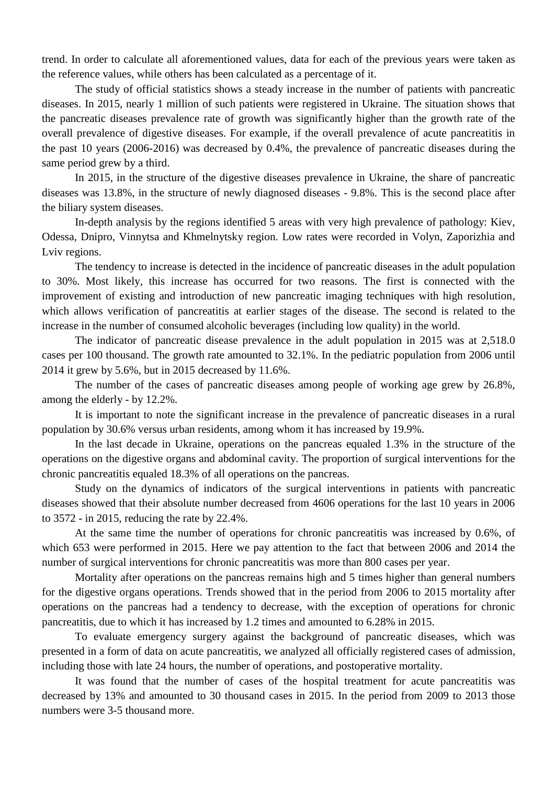trend. In order to calculate all aforementioned values, data for each of the previous years were taken as the reference values, while others has been calculated as a percentage of it.

The study of official statistics shows a steady increase in the number of patients with pancreatic diseases. In 2015, nearly 1 million of such patients were registered in Ukraine. The situation shows that the pancreatic diseases prevalence rate of growth was significantly higher than the growth rate of the overall prevalence of digestive diseases. For example, if the overall prevalence of acute pancreatitis in the past 10 years (2006-2016) was decreased by 0.4%, the prevalence of pancreatic diseases during the same period grew by a third.

In 2015, in the structure of the digestive diseases prevalence in Ukraine, the share of pancreatic diseases was 13.8%, in the structure of newly diagnosed diseases - 9.8%. This is the second place after the biliary system diseases.

In-depth analysis by the regions identified 5 areas with very high prevalence of pathology: Kiev, Odessa, Dnipro, Vinnytsa and Khmelnytsky region. Low rates were recorded in Volyn, Zaporizhia and Lviv regions.

The tendency to increase is detected in the incidence of pancreatic diseases in the adult population to 30%. Most likely, this increase has occurred for two reasons. The first is connected with the improvement of existing and introduction of new pancreatic imaging techniques with high resolution, which allows verification of pancreatitis at earlier stages of the disease. The second is related to the increase in the number of consumed alcoholic beverages (including low quality) in the world.

The indicator of pancreatic disease prevalence in the adult population in 2015 was at 2,518.0 cases per 100 thousand. The growth rate amounted to 32.1%. In the pediatric population from 2006 until 2014 it grew by 5.6%, but in 2015 decreased by 11.6%.

The number of the cases of pancreatic diseases among people of working age grew by 26.8%, among the elderly - by 12.2%.

It is important to note the significant increase in the prevalence of pancreatic diseases in a rural population by 30.6% versus urban residents, among whom it has increased by 19.9%.

In the last decade in Ukraine, operations on the pancreas equaled 1.3% in the structure of the operations on the digestive organs and abdominal cavity. The proportion of surgical interventions for the chronic pancreatitis equaled 18.3% of all operations on the pancreas.

Study on the dynamics of indicators of the surgical interventions in patients with pancreatic diseases showed that their absolute number decreased from 4606 operations for the last 10 years in 2006 to 3572 - in 2015, reducing the rate by 22.4%.

At the same time the number of operations for chronic pancreatitis was increased by 0.6%, of which 653 were performed in 2015. Here we pay attention to the fact that between 2006 and 2014 the number of surgical interventions for chronic pancreatitis was more than 800 cases per year.

Mortality after operations on the pancreas remains high and 5 times higher than general numbers for the digestive organs operations. Trends showed that in the period from 2006 to 2015 mortality after operations on the pancreas had a tendency to decrease, with the exception of operations for chronic pancreatitis, due to which it has increased by 1.2 times and amounted to 6.28% in 2015.

To evaluate emergency surgery against the background of pancreatic diseases, which was presented in a form of data on acute pancreatitis, we analyzed all officially registered cases of admission, including those with late 24 hours, the number of operations, and postoperative mortality.

It was found that the number of cases of the hospital treatment for acute pancreatitis was decreased by 13% and amounted to 30 thousand cases in 2015. In the period from 2009 to 2013 those numbers were 3-5 thousand more.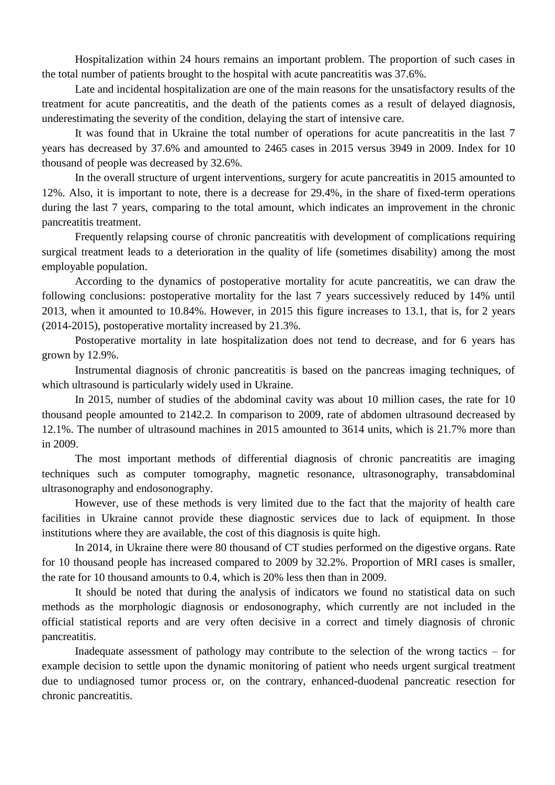Hospitalization within 24 hours remains an important problem. The proportion of such cases in the total number of patients brought to the hospital with acute pancreatitis was 37.6%.

Late and incidental hospitalization are one of the main reasons for the unsatisfactory results of the treatment for acute pancreatitis, and the death of the patients comes as a result of delayed diagnosis, underestimating the severity of the condition, delaying the start of intensive care.

It was found that in Ukraine the total number of operations for acute pancreatitis in the last 7 years has decreased by 37.6% and amounted to 2465 cases in 2015 versus 3949 in 2009. Index for 10 thousand of people was decreased by 32.6%.

In the overall structure of urgent interventions, surgery for acute pancreatitis in 2015 amounted to 12%. Also, it is important to note, there is a decrease for 29.4%, in the share of fixed-term operations during the last 7 years, comparing to the total amount, which indicates an improvement in the chronic pancreatitis treatment.

Frequently relapsing course of chronic pancreatitis with development of complications requiring surgical treatment leads to a deterioration in the quality of life (sometimes disability) among the most employable population.

According to the dynamics of postoperative mortality for acute pancreatitis, we can draw the following conclusions: postoperative mortality for the last 7 years successively reduced by 14% until 2013, when it amounted to 10.84%. However, in 2015 this figure increases to 13.1, that is, for 2 years (2014-2015), postoperative mortality increased by 21.3%.

Postoperative mortality in late hospitalization does not tend to decrease, and for 6 years has grown by 12.9%.

Instrumental diagnosis of chronic pancreatitis is based on the pancreas imaging techniques, of which ultrasound is particularly widely used in Ukraine.

In 2015, number of studies of the abdominal cavity was about 10 million cases, the rate for 10 thousand people amounted to 2142.2. In comparison to 2009, rate of abdomen ultrasound decreased by 12.1%. The number of ultrasound machines in 2015 amounted to 3614 units, which is 21.7% more than in 2009.

The most important methods of differential diagnosis of chronic pancreatitis are imaging techniques such as computer tomography, magnetic resonance, ultrasonography, transabdominal ultrasonography and endosonography.

However, use of these methods is very limited due to the fact that the majority of health care facilities in Ukraine cannot provide these diagnostic services due to lack of equipment. In those institutions where they are available, the cost of this diagnosis is quite high.

In 2014, in Ukraine there were 80 thousand of CT studies performed on the digestive organs. Rate for 10 thousand people has increased compared to 2009 by 32.2%. Proportion of MRI cases is smaller, the rate for 10 thousand amounts to 0.4, which is 20% less then than in 2009.

It should be noted that during the analysis of indicators we found no statistical data on such methods as the morphologic diagnosis or endosonography, which currently are not included in the official statistical reports and are very often decisive in a correct and timely diagnosis of chronic pancreatitis.

Inadequate assessment of pathology may contribute to the selection of the wrong tactics – for example decision to settle upon the dynamic monitoring of patient who needs urgent surgical treatment due to undiagnosed tumor process or, on the contrary, enhanced-duodenal pancreatic resection for chronic pancreatitis.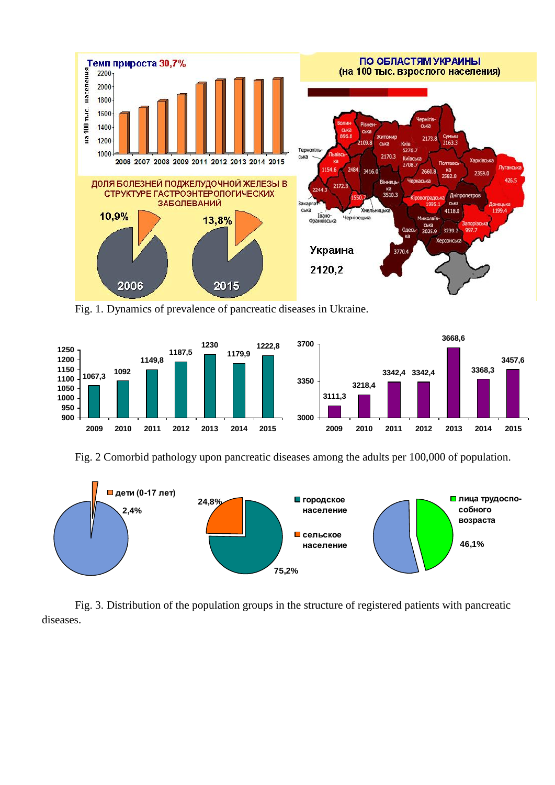

Fig. 1. Dynamics of prevalence of pancreatic diseases in Ukraine.



Fig. 2 Comorbid pathology upon pancreatic diseases among the adults per 100,000 of population.



Fig. 3. Distribution of the population groups in the structure of registered patients with pancreatic diseases.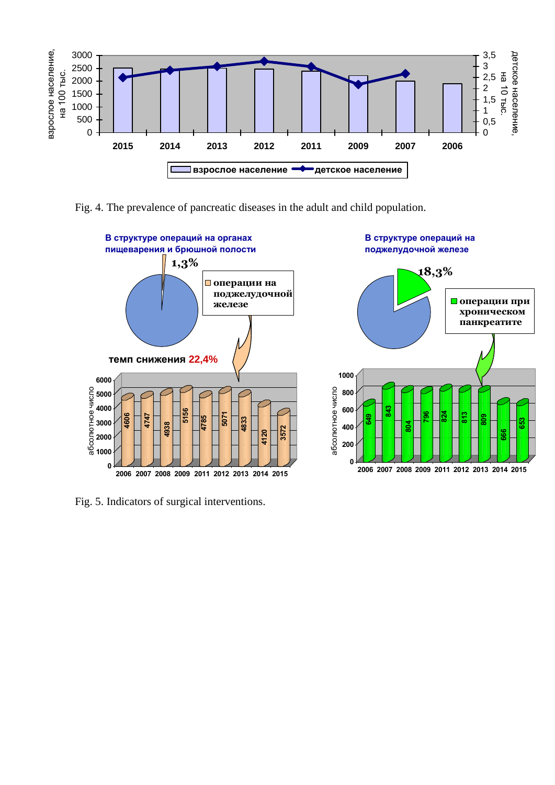

Fig. 4. The prevalence of pancreatic diseases in the adult and child population.



Fig. 5. Indicators of surgical interventions.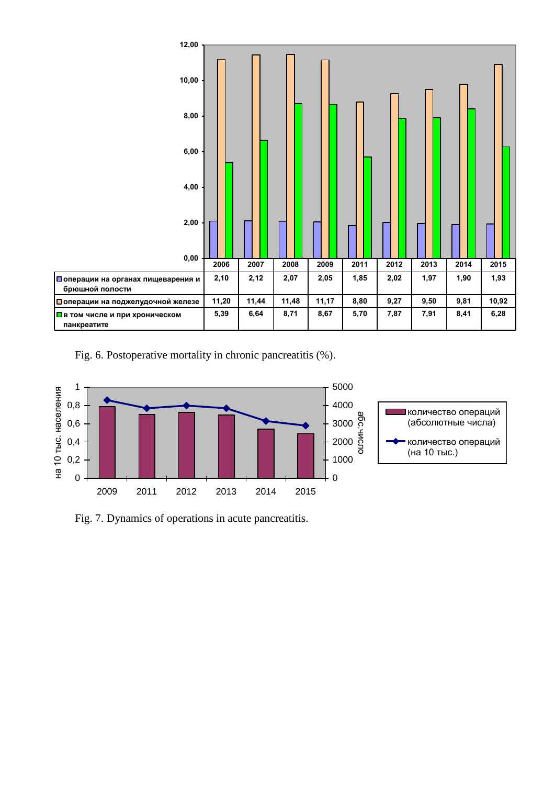

Fig. 6. Postoperative mortality in chronic pancreatitis (%).



Fig. 7. Dynamics of operations in acute pancreatitis.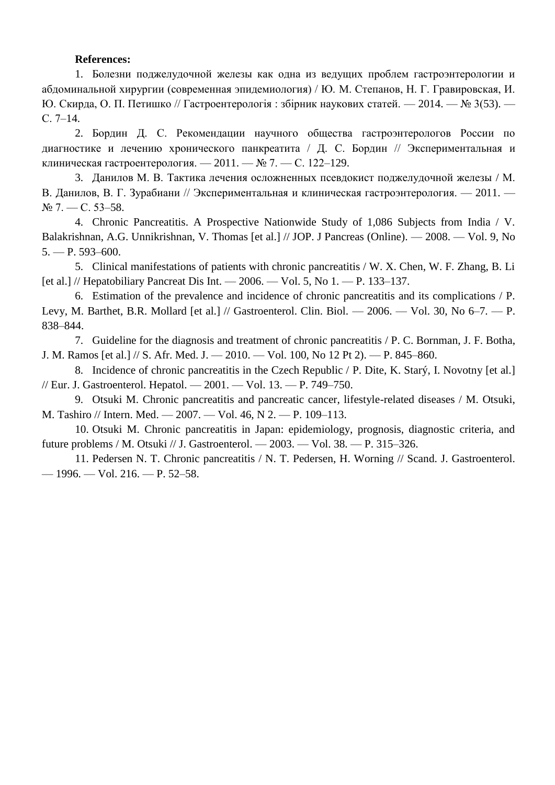## **References:**

1. Болезни поджелудочной железы как одна из ведущих проблем гастроэнтерологии и абдоминальной хирургии (современная эпидемиология) / Ю. М. Степанов, Н. Г. Гравировская, И. Ю. Скирда, О. П. Петишко // Гастроентерологія : збірник наукових статей. — 2014. — № 3(53). — С. 7–14.

2. Бордин Д. С. Рекомендации научного общества гастроэнтерологов России по диагностике и лечению хронического панкреатита / Д. С. Бордин // Экспериментальная и клиническая гастроентерология. — 2011. — № 7. — С. 122–129.

3. Данилов М. В. Тактика лечения осложненных псевдокист поджелудочной железы / М. В. Данилов, В. Г. Зурабиани // Экспериментальная и клиническая гастроэнтерология. — 2011. —  $N_2$  7. — C. 53–58.

4. Chronic Pancreatitis. A Prospective Nationwide Study of 1,086 Subjects from India / V. Balakrishnan, A.G. Unnikrishnan, V. Thomas [et al.] // JOP. J Pancreas (Online). — 2008. — Vol. 9, No  $5. - P. 593 - 600.$ 

5. Clinical manifestations of patients with chronic pancreatitis / W. X. Chen, W. F. Zhang, B. Li [et al.] // Hepatobiliary Pancreat Dis Int.  $-2006.$   $-$  Vol. 5, No 1.  $-$  P. 133–137.

6. Estimation of the prevalence and incidence of chronic pancreatitis and its complications / P. Levy, M. Barthet, B.R. Mollard [et al.] // Gastroenterol. Clin. Biol. — 2006. — Vol. 30, No 6–7. — P. 838–844.

7. Guideline for the diagnosis and treatment of chronic pancreatitis / P. C. Bornman, J. F. Botha, J. M. Ramos [et al.] // S. Afr. Med. J. — 2010. — Vol. 100, No 12 Pt 2). — P. 845–860.

8. Incidence of chronic pancreatitis in the Czech Republic / P. Dite, K. Starý, I. Novotny [et al.] // Eur. J. Gastroenterol. Hepatol. — 2001. — Vol. 13. — P. 749–750.

9. Otsuki M. Chronic pancreatitis and pancreatic cancer, lifestyle-related diseases / M. Otsuki, M. Tashiro // Intern. Med. — 2007. — Vol. 46, N 2. — P. 109–113.

10. Otsuki M. Chronic pancreatitis in Japan: epidemiology, prognosis, diagnostic criteria, and future problems / M. Otsuki // J. Gastroenterol. — 2003. — Vol. 38. — P. 315–326.

11. Pedersen N. T. [Chronic pancreatitis](http://www.ncbi.nlm.nih.gov/pubmed/8726279) / N. T. Pedersen, H. Worning // Scand. J. Gastroenterol. — 1996. — Vol. 216. — P. 52–58.